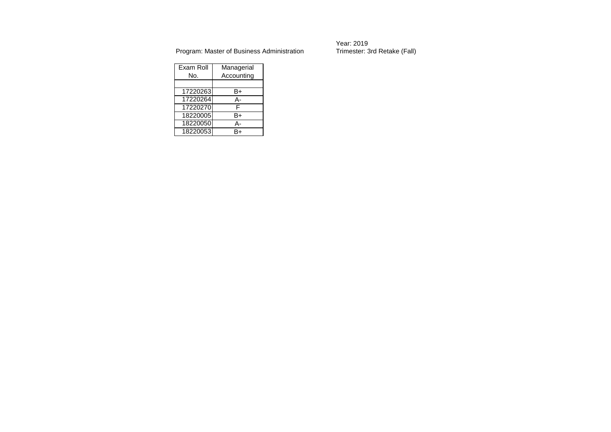Year: 2019<br>Trimester: 3rd Retake (Fall)

| Exam Roll | Managerial |  |  |  |  |
|-----------|------------|--|--|--|--|
| No.       | Accounting |  |  |  |  |
|           |            |  |  |  |  |
| 17220263  | B+         |  |  |  |  |
| 17220264  | А-         |  |  |  |  |
| 17220270  | F          |  |  |  |  |
| 18220005  | B+         |  |  |  |  |
| 18220050  | А-         |  |  |  |  |
| 18220053  | R⊥         |  |  |  |  |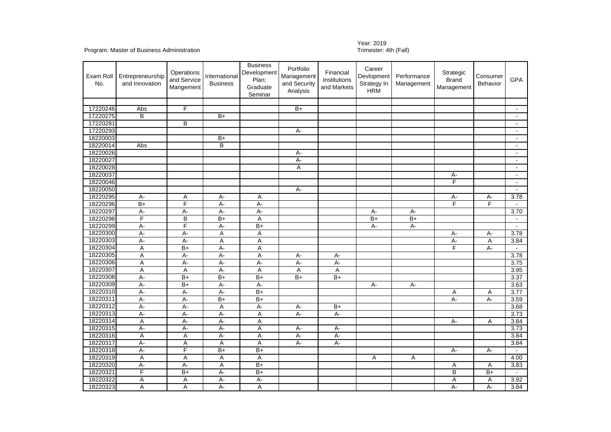## Year: 2019<br>Trimester: 4th (Fall)

| Exam Roll<br>No. | Entrepreneurship<br>and Innovation | Operations<br>and Service<br>Mangement | International<br><b>Business</b> | <b>Business</b><br>Development<br>Plan:<br>Graduate<br>Seminar | Portfolio<br>Management<br>and Security<br>Analysis | Financial<br>Institutions<br>and Markets | Career<br>Devlopment<br>Strategy In<br><b>HRM</b> | Performance<br>Management | Strategic<br><b>Brand</b><br>Management | Consumer<br>Behavior | <b>GPA</b>                  |
|------------------|------------------------------------|----------------------------------------|----------------------------------|----------------------------------------------------------------|-----------------------------------------------------|------------------------------------------|---------------------------------------------------|---------------------------|-----------------------------------------|----------------------|-----------------------------|
|                  |                                    |                                        |                                  |                                                                |                                                     |                                          |                                                   |                           |                                         |                      |                             |
| 17220246         | Abs                                | F                                      |                                  |                                                                | $\overline{B+}$                                     |                                          |                                                   |                           |                                         |                      | $\sim$                      |
| 17220275         | B                                  |                                        | $B+$                             |                                                                |                                                     |                                          |                                                   |                           |                                         |                      | $\blacksquare$              |
| 17220281         |                                    | B                                      |                                  |                                                                |                                                     |                                          |                                                   |                           |                                         |                      | $\sim$                      |
| 17220293         |                                    |                                        |                                  |                                                                | А-                                                  |                                          |                                                   |                           |                                         |                      | $\blacksquare$              |
| 18220003         |                                    |                                        | B+                               |                                                                |                                                     |                                          |                                                   |                           |                                         |                      | $\blacksquare$              |
| 18220014         | Abs                                |                                        | B                                |                                                                |                                                     |                                          |                                                   |                           |                                         |                      | $\sim$                      |
| 18220026         |                                    |                                        |                                  |                                                                | A-                                                  |                                          |                                                   |                           |                                         |                      |                             |
| 18220027         |                                    |                                        |                                  |                                                                | $A -$                                               |                                          |                                                   |                           |                                         |                      | $\blacksquare$              |
| 18220028         |                                    |                                        |                                  |                                                                | Α                                                   |                                          |                                                   |                           |                                         |                      | $\sim$                      |
| 18220037         |                                    |                                        |                                  |                                                                |                                                     |                                          |                                                   |                           | A-                                      |                      |                             |
| 18220046         |                                    |                                        |                                  |                                                                |                                                     |                                          |                                                   |                           | F                                       |                      | $\sim$                      |
| 18220050         |                                    |                                        |                                  |                                                                | $A -$                                               |                                          |                                                   |                           |                                         |                      | $\sim$                      |
| 18220295         | $\overline{A}$                     | A                                      | $A -$                            | A                                                              |                                                     |                                          |                                                   |                           | А-                                      | А-                   | 3.78                        |
| 18220296         | $\overline{B+}$                    | F                                      | $A -$                            | $A -$                                                          |                                                     |                                          |                                                   |                           | F                                       | F                    | $\blacksquare$              |
| 18220297         | А-                                 | A-                                     | $A -$                            | $A -$                                                          |                                                     |                                          | A-                                                | A-                        |                                         |                      | 3.70                        |
| 18220298         | F                                  | $\overline{B}$                         | $B+$                             | $\overline{A}$                                                 |                                                     |                                          | $B+$                                              | $B+$                      |                                         |                      |                             |
| 18220299         | $\overline{A}$                     | F                                      | A-                               | $\overline{B+}$                                                |                                                     |                                          | $A -$                                             | $A -$                     |                                         |                      | $\blacksquare$              |
| 18220300         | $A -$                              | $A -$                                  | Α                                | A                                                              |                                                     |                                          |                                                   |                           | $A -$                                   | A-                   | 3.78                        |
| 18220303         | $A -$                              | $A -$                                  | A                                | A                                                              |                                                     |                                          |                                                   |                           | $A -$                                   | Α                    | 3.84                        |
| 18220304         | A                                  | $\overline{B+}$                        | $A -$                            | Α                                                              |                                                     |                                          |                                                   |                           | F                                       | $A -$                |                             |
| 18220305         | A                                  | A-                                     | A-                               | Α                                                              | A-                                                  | А-                                       |                                                   |                           |                                         |                      | 3.78                        |
| 18220306         | Α                                  | $A -$                                  | $A -$                            | $A -$                                                          | A-                                                  | A-                                       |                                                   |                           |                                         |                      | 3.75                        |
| 18220307         | A                                  | Α                                      | A-                               | Α                                                              | Α                                                   | Α                                        |                                                   |                           |                                         |                      | 3.95                        |
| 18220308         | $A -$                              | B+                                     | $B+$                             | $B+$                                                           | $B+$                                                | $B+$                                     |                                                   |                           |                                         |                      | 3.37                        |
| 18220309         | $A -$                              | $\overline{B+}$                        | $A -$                            | $A -$                                                          |                                                     |                                          | $A -$                                             | $A -$                     |                                         |                      | 3.63                        |
| 18220310         | $A -$                              | A-                                     | A-                               | $B+$                                                           |                                                     |                                          |                                                   |                           | Α                                       | Α                    | 3.77                        |
| 18220311         | $\overline{A}$                     | $A -$                                  | $\overline{B+}$                  | $B+$                                                           |                                                     |                                          |                                                   |                           | $A -$                                   | $A -$                | 3.59                        |
| 18220312         | $A -$                              | $A -$                                  | $\overline{A}$                   | $A -$                                                          | A-                                                  | $\overline{B+}$                          |                                                   |                           |                                         |                      | 3.68                        |
| 18220313         | А-                                 | A-                                     | A-                               | Α                                                              | $A -$                                               | А-                                       |                                                   |                           |                                         |                      | 3.73                        |
| 18220314         | A                                  | $A -$                                  | $A -$                            | A                                                              |                                                     |                                          |                                                   |                           | $A -$                                   | A                    | 3.84                        |
| 18220315         | $\overline{A}$                     | A-                                     | A-                               | A                                                              | A-                                                  | A-                                       |                                                   |                           |                                         |                      | 3.73                        |
| 18220316         | $\overline{A}$                     | Α                                      | А-                               | Α                                                              | $A -$                                               | $A -$                                    |                                                   |                           |                                         |                      | 3.84                        |
| 18220317         | $\overline{A}$                     | A                                      | A                                | A                                                              | $A -$                                               | $A -$                                    |                                                   |                           |                                         |                      | 3.84                        |
| 18220318         | $\overline{A}$                     | F                                      | $B+$                             | $B+$                                                           |                                                     |                                          |                                                   |                           | $A -$                                   | А-                   | $\mathcal{L}^{\mathcal{A}}$ |
| 18220319         | Α                                  | A                                      | Α                                | Α                                                              |                                                     |                                          | Α                                                 | Α                         |                                         |                      | 4.00                        |
| 18220320         | $A -$                              | $A -$                                  | A                                | $B+$                                                           |                                                     |                                          |                                                   |                           | Α                                       | Α                    | 3.83                        |
| 18220321         | F                                  | $\overline{B+}$                        | $A -$                            | $\overline{B+}$                                                |                                                     |                                          |                                                   |                           | B                                       | $\overline{B+}$      | $\sim$                      |
| 18220322         | Α                                  | Α                                      | $A -$                            | $A -$                                                          |                                                     |                                          |                                                   |                           | Α                                       | Α                    | 3.92                        |
| 18220323         | A                                  | A                                      | $A -$                            | A                                                              |                                                     |                                          |                                                   |                           | $A -$                                   | $A -$                | 3.84                        |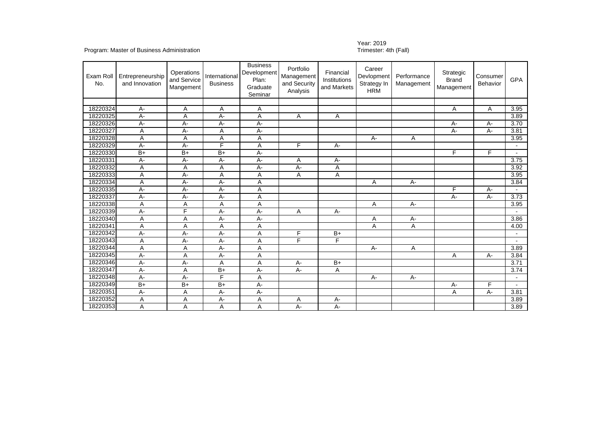## Year: 2019<br>Trimester: 4th (Fall)

| Exam Roll<br>No. | Entrepreneurship<br>and Innovation | Operations<br>and Service<br>Mangement | International<br><b>Business</b> | <b>Business</b><br><b>Development</b><br>Plan:<br>Graduate<br>Seminar | Portfolio<br>Management<br>and Security<br>Analysis | Financial<br>Institutions<br>and Markets | Career<br>Devlopment<br>Strategy In<br><b>HRM</b> | Performance<br>Management | Strategic<br><b>Brand</b><br>Management | Consumer<br>Behavior | <b>GPA</b>     |
|------------------|------------------------------------|----------------------------------------|----------------------------------|-----------------------------------------------------------------------|-----------------------------------------------------|------------------------------------------|---------------------------------------------------|---------------------------|-----------------------------------------|----------------------|----------------|
|                  |                                    |                                        |                                  |                                                                       |                                                     |                                          |                                                   |                           |                                         |                      |                |
| 18220324         | $A -$                              | Α                                      | Α                                | A                                                                     |                                                     |                                          |                                                   |                           | Α                                       | Α                    | 3.95           |
| 18220325         | A-                                 | Α                                      | A-                               | Α                                                                     | A                                                   | A                                        |                                                   |                           |                                         |                      | 3.89           |
| 18220326         | A-                                 | А-                                     | $A -$                            | А-                                                                    |                                                     |                                          |                                                   |                           | $A -$                                   | $A -$                | 3.70           |
| 18220327         | A                                  | A-                                     | Α                                | А-                                                                    |                                                     |                                          |                                                   |                           | $A -$                                   | $A -$                | 3.81           |
| 18220328         | Α                                  | Α                                      | Α                                | Α                                                                     |                                                     |                                          | A-                                                | Α                         |                                         |                      | 3.95           |
| 18220329         | A-                                 | $A -$                                  | F                                | A                                                                     | F                                                   | $A -$                                    |                                                   |                           |                                         |                      |                |
| 18220330         | $\overline{B+}$                    | $\overline{B+}$                        | $\overline{B+}$                  | А-                                                                    |                                                     |                                          |                                                   |                           | F                                       | F                    | $\sim$         |
| 18220331         | А-                                 | A-                                     | $A -$                            | A-                                                                    | Α                                                   | A-                                       |                                                   |                           |                                         |                      | 3.75           |
| 18220332         | Α                                  | A                                      | Α                                | A-                                                                    | $A -$                                               | Α                                        |                                                   |                           |                                         |                      | 3.92           |
| 18220333         | A                                  | $A -$                                  | Α                                | Α                                                                     | Α                                                   | Α                                        |                                                   |                           |                                         |                      | 3.95           |
| 18220334         | Α                                  | A-                                     | А-                               | Α                                                                     |                                                     |                                          | Α                                                 | A-                        |                                         |                      | 3.84           |
| 18220335         | A-                                 | A-                                     | A-                               | Α                                                                     |                                                     |                                          |                                                   |                           | F                                       | $A -$                |                |
| 18220337         | A-                                 | А-                                     | $A -$                            | A                                                                     |                                                     |                                          |                                                   |                           | $A -$                                   | $A -$                | 3.73           |
| 18220338         | Α                                  | Α                                      | Α                                | A                                                                     |                                                     |                                          | Α                                                 | A-                        |                                         |                      | 3.95           |
| 18220339         | A-                                 | F                                      | $A -$                            | A-                                                                    | Α                                                   | A-                                       |                                                   |                           |                                         |                      |                |
| 18220340         | A                                  | A                                      | $A -$                            | A-                                                                    |                                                     |                                          | A                                                 | A-                        |                                         |                      | 3.86           |
| 18220341         | A                                  | Α                                      | Α                                | Α                                                                     |                                                     |                                          | A                                                 | Α                         |                                         |                      | 4.00           |
| 18220342         | А-                                 | А-                                     | А-                               | Α                                                                     | F                                                   | $B+$                                     |                                                   |                           |                                         |                      | $\blacksquare$ |
| 18220343         | A                                  | А-                                     | $A -$                            | A                                                                     | F                                                   | F                                        |                                                   |                           |                                         |                      |                |
| 18220344         | A                                  | Α                                      | $A -$                            | Α                                                                     |                                                     |                                          | A-                                                | Α                         |                                         |                      | 3.89           |
| 18220345         | А-                                 | A                                      | А-                               | Α                                                                     |                                                     |                                          |                                                   |                           | Α                                       | $A -$                | 3.84           |
| 18220346         | A-                                 | A-                                     | A                                | Α                                                                     | $A -$                                               | $B+$                                     |                                                   |                           |                                         |                      | 3.71           |
| 18220347         | A-                                 | A                                      | $\overline{B+}$                  | А-                                                                    | A-                                                  | A                                        |                                                   |                           |                                         |                      | 3.74           |
| 18220348         | $A -$                              | A-                                     | F                                | A                                                                     |                                                     |                                          | $A-$                                              | A-                        |                                         |                      |                |
| 18220349         | $B+$                               | $B+$                                   | $B+$                             | A-                                                                    |                                                     |                                          |                                                   |                           | $A -$                                   | F                    |                |
| 18220351         | $A -$                              | Α                                      | А-                               | А-                                                                    |                                                     |                                          |                                                   |                           | Α                                       | $A -$                | 3.81           |
| 18220352         | Α                                  | Α                                      | A-                               | Α                                                                     | Α                                                   | A-                                       |                                                   |                           |                                         |                      | 3.89           |
| 18220353         | A                                  | A                                      | Α                                | Α                                                                     | $A -$                                               | A-                                       |                                                   |                           |                                         |                      | 3.89           |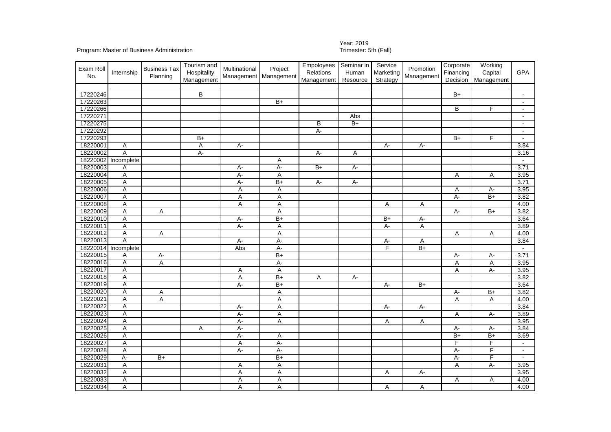# Year: 2019<br>Trimester: 5th (Fall)

| Exam Roll<br>No. | Internship | <b>Business Tax</b><br>Planning | Tourism and<br>Hospitality<br>Management | Multinational | Project<br>Management Management | Empoloyees<br><b>Relations</b><br>Management | Seminar in<br>Human<br>Resource | Service<br>Marketing<br>Strategy | Promotion<br>Management | Corporate<br>Financing<br>Decision | Working<br>Capital<br>Management | <b>GPA</b>     |
|------------------|------------|---------------------------------|------------------------------------------|---------------|----------------------------------|----------------------------------------------|---------------------------------|----------------------------------|-------------------------|------------------------------------|----------------------------------|----------------|
|                  |            |                                 |                                          |               |                                  |                                              |                                 |                                  |                         |                                    |                                  |                |
| 17220246         |            |                                 | B                                        |               |                                  |                                              |                                 |                                  |                         | $B+$                               |                                  |                |
| 17220263         |            |                                 |                                          |               | $\overline{B+}$                  |                                              |                                 |                                  |                         |                                    |                                  | $\blacksquare$ |
| 17220266         |            |                                 |                                          |               |                                  |                                              |                                 |                                  |                         | B                                  | F                                |                |
| 17220271         |            |                                 |                                          |               |                                  |                                              | Abs                             |                                  |                         |                                    |                                  |                |
| 17220275         |            |                                 |                                          |               |                                  | В                                            | $B+$                            |                                  |                         |                                    |                                  | $\sim$         |
| 17220292         |            |                                 |                                          |               |                                  | $A -$                                        |                                 |                                  |                         |                                    |                                  | $\sim$         |
| 17220293         |            |                                 | $B+$                                     |               |                                  |                                              |                                 |                                  |                         | $B+$                               | F                                |                |
| 18220001         | Α          |                                 | Α                                        | $A -$         |                                  |                                              |                                 | A-                               | $A -$                   |                                    |                                  | 3.84           |
| 18220002         | Ā          |                                 | $A -$                                    |               |                                  | $A -$                                        | Α                               |                                  |                         |                                    |                                  | 3.16           |
| 18220002         | Incomplete |                                 |                                          |               | A                                |                                              |                                 |                                  |                         |                                    |                                  |                |
| 18220003         | Α          |                                 |                                          | А-            | A-                               | $B+$                                         | A-                              |                                  |                         |                                    |                                  | 3.71           |
| 18220004         | Ā          |                                 |                                          | $A -$         | A                                |                                              |                                 |                                  |                         | Α                                  | Α                                | 3.95           |
| 18220005         | Ā          |                                 |                                          | $A -$         | $B+$                             | $A -$                                        | $A -$                           |                                  |                         |                                    |                                  | 3.71           |
| 18220006         | Ā          |                                 |                                          | Α             | Α                                |                                              |                                 |                                  |                         | Α                                  | А-                               | 3.95           |
| 18220007         | Ā          |                                 |                                          | Α             | A                                |                                              |                                 |                                  |                         | $A -$                              | $B+$                             | 3.82           |
| 18220008         | Ā          |                                 |                                          | Α             | Α                                |                                              |                                 | Α                                | Α                       |                                    |                                  | 4.00           |
| 18220009         | А          | Α                               |                                          |               | Α                                |                                              |                                 |                                  |                         | $A -$                              | $B+$                             | 3.82           |
| 18220010         | Ā          |                                 |                                          | $A -$         | $\overline{B+}$                  |                                              |                                 | $B+$                             | A-                      |                                    |                                  | 3.64           |
| 18220011         | Ā          |                                 |                                          | $A -$         | Α                                |                                              |                                 | $\overline{A}$                   | Α                       |                                    |                                  | 3.89           |
| 18220012         | A          | $\overline{A}$                  |                                          |               | Α                                |                                              |                                 |                                  |                         | $\overline{A}$                     | Α                                | 4.00           |
| 18220013         | Ā          |                                 |                                          | A-            | $A -$                            |                                              |                                 | А-                               | Α                       |                                    |                                  | 3.84           |
| 18220014         | Incomplete |                                 |                                          | Abs           | $A -$                            |                                              |                                 | $\overline{F}$                   | $B+$                    |                                    |                                  | $\sim$         |
| 18220015         | Α          | А.                              |                                          |               | $B+$                             |                                              |                                 |                                  |                         | $A-$                               | A-                               | 3.71           |
| 18220016         | Ā          | Α                               |                                          |               | A-                               |                                              |                                 |                                  |                         | A                                  | A                                | 3.95           |
| 18220017         | Ā          |                                 |                                          | A             | A                                |                                              |                                 |                                  |                         | A                                  | $A -$                            | 3.95           |
| 18220018         | А          |                                 |                                          | A             | $B+$                             | Α                                            | A-                              |                                  |                         |                                    |                                  | 3.82           |
| 18220019         | Ā          |                                 |                                          | $A -$         | $\overline{B+}$                  |                                              |                                 | $\overline{A}$                   | $B+$                    |                                    |                                  | 3.64           |
| 18220020         | A          | Α                               |                                          |               | Α                                |                                              |                                 |                                  |                         | $A -$                              | $B+$                             | 3.82           |
| 18220021         | A          | Α                               |                                          |               | Α                                |                                              |                                 |                                  |                         | A                                  | Α                                | 4.00           |
| 18220022         | Ā          |                                 |                                          | $A -$         | $\overline{A}$                   |                                              |                                 | $\overline{A}$                   | $A -$                   |                                    |                                  | 3.84           |
| 18220023         | A          |                                 |                                          | $A -$         | A                                |                                              |                                 |                                  |                         | Α                                  | $A -$                            | 3.89           |
| 18220024         | A          |                                 |                                          | $A -$         | A                                |                                              |                                 | Α                                | Α                       |                                    |                                  | 3.95           |
| 18220025         | Ā          |                                 | Α                                        | A-            |                                  |                                              |                                 |                                  |                         | $A -$                              | A-                               | 3.84           |
| 18220026         | А          |                                 |                                          | $A -$         | Α                                |                                              |                                 |                                  |                         | $\overline{B+}$                    | $B+$                             | 3.69           |
| 18220027         | А          |                                 |                                          | Α             | $A -$                            |                                              |                                 |                                  |                         | F                                  | F                                | $\sim$         |
| 18220028         | Ā          |                                 |                                          | $A -$         | $A -$                            |                                              |                                 |                                  |                         | $A -$                              | F                                |                |
| 18220029         | А-         | $B+$                            |                                          |               | $B+$                             |                                              |                                 |                                  |                         | $A -$                              | F                                |                |
| 18220031         | Ā          |                                 |                                          | Α             | Α                                |                                              |                                 |                                  |                         | $\overline{A}$                     | $A -$                            | 3.95           |
| 18220032         | Ā          |                                 |                                          | Α             | A                                |                                              |                                 | Α                                | $A -$                   |                                    |                                  | 3.95           |
| 18220033         | Α          |                                 |                                          | Α             | Α                                |                                              |                                 |                                  |                         | Α                                  | Α                                | 4.00           |
| 18220034         | Ā          |                                 |                                          | A             | A                                |                                              |                                 | Α                                | Α                       |                                    |                                  | 4.00           |